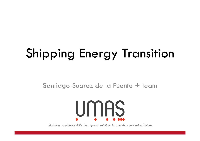# Shipping Energy Transition

Santiago Suarez de la Fuente + team



*Maritime consultancy delivering applied solutions for a carbon constrained future*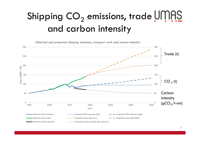## Shipping  $\mathsf{CO}_2$  emissions, trade  $|$ and carbon intensity

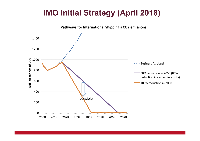#### **IMO Initial Strategy (April 2018)**

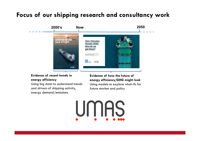#### **Focus of our shipping research and consultancy work**



#### **Evidence of recent trends in energy efficiency**

 Using big data to understand trends and drivers of shipping activity, energy demand/emissions

**Evidence of how the future of energy efficiency/GHG might look** Using models to explore what-ifs for future market and policy

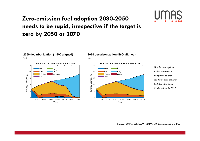#### **Zero-emission fuel adoption 2030-2050 needs to be rapid, irrespective if the target is zero by 2050 or 2070**





Source: UMAS GloTraM (2019), UK Clean Maritime Plan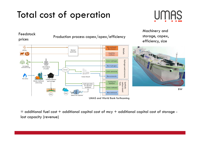### Total cost of operation





 $=$  additional fuel cost  $+$  additional capital cost of mcy  $+$  additional capital cost of storage lost capacity (revenue)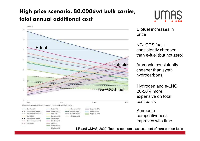#### **High price scenario, 80,000dwt bulk carrier, total annual additional cost**





Biofuel increases in price

NG+CCS fuels consistently cheaper than e-fuel (but not zero)

Ammonia consistently cheaper than synth hydrocarbons,

Hydrogen and e-LNG 20-50% more expensive on total cost basis

Ammonia competitiveness improves with time

LR and UMAS, 2020, Techno-economic assessment of zero carbon fuels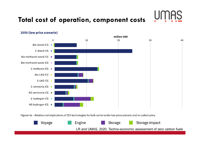#### **Total cost of operation, component costs**





#### 2050 (low price scenario)

Figures 4a - Relative cost implications of ZEV technologies for bulk carrier under low-price scenario and no carbon price.

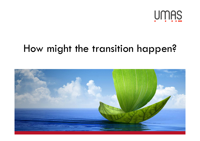

### How might the transition happen?

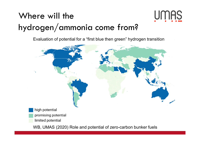### Where will the hydrogen/ammonia come from?



Evaluation of potential for a "first blue then green" hydrogen transition



WB, UMAS (2020) Role and potential of zero-carbon bunker fuels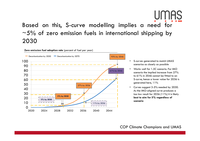#### Based on this, S-curve modelling implies <sup>a</sup> need for  $\sim$  5% of zero emission fuels in international shipping by 2030



- • S-curves generated to match UMAS scenarios as closely as possible
- • Works well for 1.5C scenario. For IMO scenario the implied increase from 27% to 61% in 2046 cannot be fitted to an S-curve, hence a lower value for 2036 is generated here, 11%
- Curves suggest 3-5% needed by 2030. As the IMO-aligned curve produces a too low result for 2036 (11%) it is likely **best to aim for 5% regardless of scenario**

COP Climate Champions and UMAS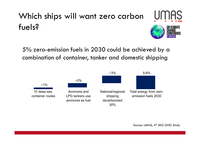### Which ships will want zero carbon fuels?

5% zero-emission fuels in 2030 could be achieved by a combination of container, tanker and domestic shipping

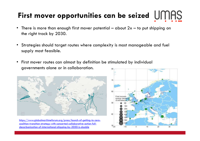## **First mover opportunities can be seized**

- •There is more than enough first mover potential – about  $2x$  – to put shipping on the right track by 2030.
- $\bullet$  Strategies should target routes where complexity is most manageable and fuel supply most feasible.
- • First mover routes can almost by definition be stimulated by individual governments alone or in collaboration.



https://www.globalmaritimeforum.org/press/launch-of-getting-to-zerocoalition-transition-strategy-with-concerted-collaborative-action-fulldecarbonization-of-international-shipping-by-2050-is-doable

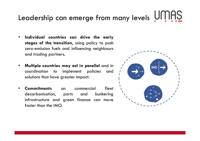# Leadership can emerge from many levels

- • **Individual countries can drive the early stages of the transition**, using policy to pus<sup>h</sup> zero-emission fuels and influencing neighbours and trading partners.
- • **Multiple countries may act in parallel** and in coordination to implement policies and<br>solutions.that.have.areater.impact solutions that have greater impact.
- • **CommitmentsCommitments** on commercial fleet<br>decarbonisation, ports and bunkering decarbonisation, ports and bunkering<br>infrastructure.cnd.creen.finance.con.move infrastructure and green finance can move<br>faster.than.the.IMO faster than the IMO.

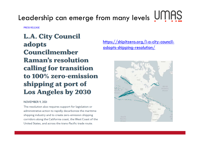# Leadership can emerge from many levels

**PRESS RELEASE** 

**L.A. City Council** adopts **Councilmember Raman's resolution** calling for transition to 100% zero-emission shipping at port of **Los Angeles by 2030** 

#### NOVEMBER 9, 2021

The resolution also requires support for legislation or administrative action to rapidly decarbonize the maritime shipping industry and to create zero-emission shipping corridors along the California coast, the West Coast of the United States, and across the trans-Pacific trade route.

https://shipitzero.org/l-a-city-counciladopts-shipping-resolution/

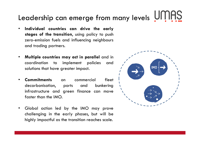## Leadership can emerge from many levels

- • **Individual countries can drive the early stages of the transition**, using policy to pus<sup>h</sup> zero-emission fuels and influencing neighbours and trading partners.
- • **Multiple countries may act in parallel** and in coordination to implement policies and<br>solutions.that.have.areater.impact solutions that have greater impact.
- • **CommitmentsCommitments** on commercial fleet<br>decarbonisation, ports and bunkering decarbonisation, ports and bunkering<br>infrastructure.cnd.creen.finance.con.move infrastructure and green finance can move<br>faster.than.the.IMO faster than the IMO.
- Global action led by the IMO may prove challenging in the early <sup>p</sup>hases, but will be highly impactful as the transition reaches scale.